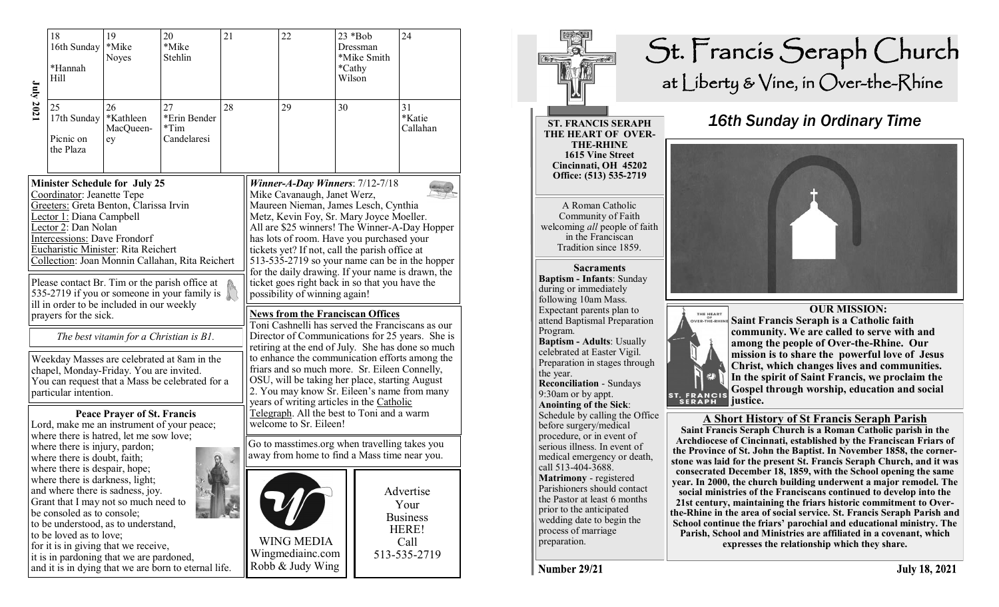|                                                                                                                                                                                                                                                                                     | 18<br>16th Sunday<br>*Hannah<br>Hill                                                                                                                                                                                                                                                                                                                                                                                                          | 19<br>*Mike<br><b>Noyes</b>        | 20<br>*Mike<br>Stehlin                                                                                                                            | 21 |                                                                                                                                                                                                                                                                                                                                                                                                         | 22<br>Wilson                                                                                                                                                                                                                                                                                                                                                                                |    | $23 * Bob$<br>Dressman<br>*Mike Smith<br>*Cathy | 24                                                                                              |
|-------------------------------------------------------------------------------------------------------------------------------------------------------------------------------------------------------------------------------------------------------------------------------------|-----------------------------------------------------------------------------------------------------------------------------------------------------------------------------------------------------------------------------------------------------------------------------------------------------------------------------------------------------------------------------------------------------------------------------------------------|------------------------------------|---------------------------------------------------------------------------------------------------------------------------------------------------|----|---------------------------------------------------------------------------------------------------------------------------------------------------------------------------------------------------------------------------------------------------------------------------------------------------------------------------------------------------------------------------------------------------------|---------------------------------------------------------------------------------------------------------------------------------------------------------------------------------------------------------------------------------------------------------------------------------------------------------------------------------------------------------------------------------------------|----|-------------------------------------------------|-------------------------------------------------------------------------------------------------|
| July 2021                                                                                                                                                                                                                                                                           | 25<br>17th Sunday<br>Picnic on<br>the Plaza                                                                                                                                                                                                                                                                                                                                                                                                   | 26<br>*Kathleen<br>MacQueen-<br>ey | 27<br>*Erin Bender<br>$*Tim$<br>Candelaresi                                                                                                       | 28 | 29                                                                                                                                                                                                                                                                                                                                                                                                      |                                                                                                                                                                                                                                                                                                                                                                                             | 30 |                                                 | 31<br>*Katie<br>Callahan                                                                        |
|                                                                                                                                                                                                                                                                                     | <b>Minister Schedule for July 25</b><br>Coordinator: Jeanette Tepe<br>Greeters: Greta Benton, Clarissa Irvin<br>Lector 1: Diana Campbell<br>Lector 2: Dan Nolan<br>Intercessions: Dave Frondorf<br>Eucharistic Minister: Rita Reichert                                                                                                                                                                                                        |                                    | Collection: Joan Monnin Callahan, Rita Reichert<br>Please contact Br. Tim or the parish office at<br>535-2719 if you or someone in your family is |    |                                                                                                                                                                                                                                                                                                                                                                                                         | Winner-A-Day Winners: $7/12-7/18$<br>Mike Cavanaugh, Janet Werz,<br>Maureen Nieman, James Lesch, Cynthia<br>Metz, Kevin Foy, Sr. Mary Joyce Moeller.<br>has lots of room. Have you purchased your<br>tickets yet? If not, call the parish office at<br>for the daily drawing. If your name is drawn, the<br>ticket goes right back in so that you have the<br>possibility of winning again! |    |                                                 | All are \$25 winners! The Winner-A-Day Hopper<br>513-535-2719 so your name can be in the hopper |
| ill in order to be included in our weekly<br>prayers for the sick.<br>The best vitamin for a Christian is B1.<br>Weekday Masses are celebrated at 8am in the<br>chapel, Monday-Friday. You are invited.<br>You can request that a Mass be celebrated for a<br>particular intention. |                                                                                                                                                                                                                                                                                                                                                                                                                                               |                                    |                                                                                                                                                   |    | <b>News from the Franciscan Offices</b><br>Toni Cashnelli has served the Franciscans as our<br>Director of Communications for 25 years. She is<br>retiring at the end of July. She has done so much<br>to enhance the communication efforts among the<br>friars and so much more. Sr. Eileen Connelly,<br>OSU, will be taking her place, starting August<br>2. You may know Sr. Eileen's name from many |                                                                                                                                                                                                                                                                                                                                                                                             |    |                                                 |                                                                                                 |
|                                                                                                                                                                                                                                                                                     | where there is hatred, let me sow love;<br>where there is injury, pardon;<br>where there is doubt, faith;<br>where there is despair, hope;<br>where there is darkness, light;<br>and where there is sadness, joy.<br>Grant that I may not so much need to<br>be consoled as to console;<br>to be understood, as to understand,<br>to be loved as to love;<br>for it is in giving that we receive,<br>it is in pardoning that we are pardoned, | <b>Peace Prayer of St. Francis</b> | Lord, make me an instrument of your peace;<br>and it is in dying that we are born to eternal life.                                                |    |                                                                                                                                                                                                                                                                                                                                                                                                         | years of writing articles in the Catholic<br>Telegraph. All the best to Toni and a warm<br>welcome to Sr. Eileen!<br>Go to masstimes.org when travelling takes you<br>away from home to find a Mass time near you.<br><b>WING MEDIA</b><br>Wingmediainc.com<br>Robb & Judy Wing                                                                                                             |    |                                                 | Advertise<br>Your<br><b>Business</b><br>HERE!<br>Call<br>513-535-2719                           |



**Number 29/21**